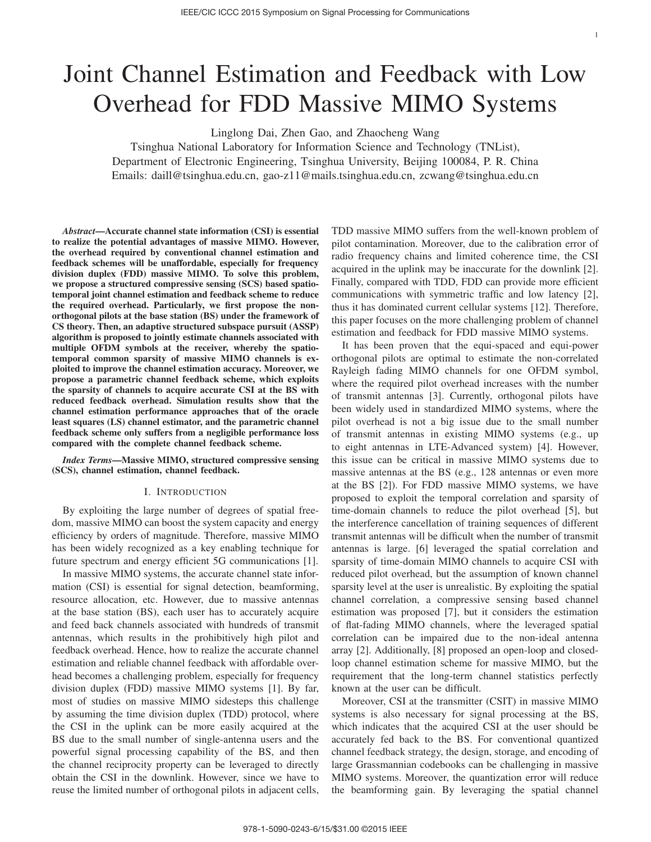# Joint Channel Estimation and Feedback with Low Overhead for FDD Massive MIMO Systems

Linglong Dai, Zhen Gao, and Zhaocheng Wang

Tsinghua National Laboratory for Information Science and Technology (TNList), Department of Electronic Engineering, Tsinghua University, Beijing 100084, P. R. China Emails: daill@tsinghua.edu.cn, gao-z11@mails.tsinghua.edu.cn, zcwang@tsinghua.edu.cn

*Abstract*—Accurate channel state information (CSI) is essential to realize the potential advantages of massive MIMO. However, the overhead required by conventional channel estimation and feedback schemes will be unaffordable, especially for frequency division duplex (FDD) massive MIMO. To solve this problem, we propose a structured compressive sensing (SCS) based spatiotemporal joint channel estimation and feedback scheme to reduce the required overhead. Particularly, we first propose the nonorthogonal pilots at the base station (BS) under the framework of CS theory. Then, an adaptive structured subspace pursuit (ASSP) algorithm is proposed to jointly estimate channels associated with multiple OFDM symbols at the receiver, whereby the spatiotemporal common sparsity of massive MIMO channels is exploited to improve the channel estimation accuracy. Moreover, we propose a parametric channel feedback scheme, which exploits the sparsity of channels to acquire accurate CSI at the BS with reduced feedback overhead. Simulation results show that the channel estimation performance approaches that of the oracle least squares (LS) channel estimator, and the parametric channel feedback scheme only suffers from a negligible performance loss compared with the complete channel feedback scheme.

*Index Terms*—Massive MIMO, structured compressive sensing (SCS), channel estimation, channel feedback.

## I. INTRODUCTION

By exploiting the large number of degrees of spatial freedom, massive MIMO can boost the system capacity and energy efficiency by orders of magnitude. Therefore, massive MIMO has been widely recognized as a key enabling technique for future spectrum and energy efficient 5G communications [1].

In massive MIMO systems, the accurate channel state information (CSI) is essential for signal detection, beamforming, resource allocation, etc. However, due to massive antennas at the base station (BS), each user has to accurately acquire and feed back channels associated with hundreds of transmit antennas, which results in the prohibitively high pilot and feedback overhead. Hence, how to realize the accurate channel estimation and reliable channel feedback with affordable overhead becomes a challenging problem, especially for frequency division duplex (FDD) massive MIMO systems [1]. By far, most of studies on massive MIMO sidesteps this challenge by assuming the time division duplex (TDD) protocol, where the CSI in the uplink can be more easily acquired at the BS due to the small number of single-antenna users and the powerful signal processing capability of the BS, and then the channel reciprocity property can be leveraged to directly obtain the CSI in the downlink. However, since we have to reuse the limited number of orthogonal pilots in adjacent cells,

TDD massive MIMO suffers from the well-known problem of pilot contamination. Moreover, due to the calibration error of radio frequency chains and limited coherence time, the CSI acquired in the uplink may be inaccurate for the downlink [2]. Finally, compared with TDD, FDD can provide more efficient communications with symmetric traffic and low latency [2], thus it has dominated current cellular systems [12]. Therefore, this paper focuses on the more challenging problem of channel estimation and feedback for FDD massive MIMO systems.

It has been proven that the equi-spaced and equi-power orthogonal pilots are optimal to estimate the non-correlated Rayleigh fading MIMO channels for one OFDM symbol, where the required pilot overhead increases with the number of transmit antennas [3]. Currently, orthogonal pilots have been widely used in standardized MIMO systems, where the pilot overhead is not a big issue due to the small number of transmit antennas in existing MIMO systems (e.g., up to eight antennas in LTE-Advanced system) [4]. However, this issue can be critical in massive MIMO systems due to massive antennas at the BS (e.g., 128 antennas or even more at the BS [2]). For FDD massive MIMO systems, we have proposed to exploit the temporal correlation and sparsity of time-domain channels to reduce the pilot overhead [5], but the interference cancellation of training sequences of different transmit antennas will be difficult when the number of transmit antennas is large. [6] leveraged the spatial correlation and sparsity of time-domain MIMO channels to acquire CSI with reduced pilot overhead, but the assumption of known channel sparsity level at the user is unrealistic. By exploiting the spatial channel correlation, a compressive sensing based channel estimation was proposed [7], but it considers the estimation of flat-fading MIMO channels, where the leveraged spatial correlation can be impaired due to the non-ideal antenna array [2]. Additionally, [8] proposed an open-loop and closedloop channel estimation scheme for massive MIMO, but the requirement that the long-term channel statistics perfectly known at the user can be difficult.

Moreover, CSI at the transmitter (CSIT) in massive MIMO systems is also necessary for signal processing at the BS, which indicates that the acquired CSI at the user should be accurately fed back to the BS. For conventional quantized channel feedback strategy, the design, storage, and encoding of large Grassmannian codebooks can be challenging in massive MIMO systems. Moreover, the quantization error will reduce the beamforming gain. By leveraging the spatial channel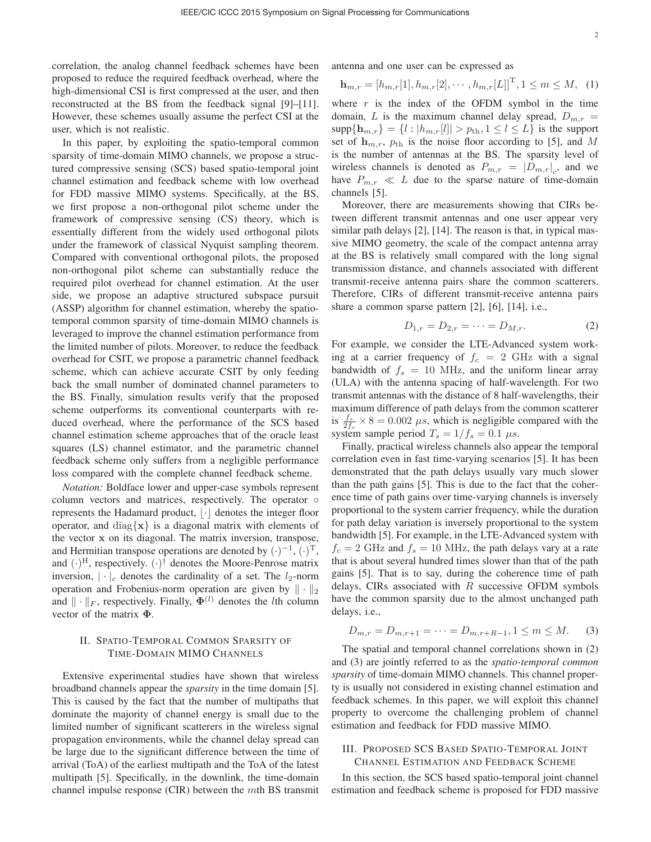correlation, the analog channel feedback schemes have been proposed to reduce the required feedback overhead, where the high-dimensional CSI is first compressed at the user, and then reconstructed at the BS from the feedback signal [9]–[11]. However, these schemes usually assume the perfect CSI at the user, which is not realistic.

In this paper, by exploiting the spatio-temporal common sparsity of time-domain MIMO channels, we propose a structured compressive sensing (SCS) based spatio-temporal joint channel estimation and feedback scheme with low overhead for FDD massive MIMO systems. Specifically, at the BS, we first propose a non-orthogonal pilot scheme under the framework of compressive sensing (CS) theory, which is essentially different from the widely used orthogonal pilots under the framework of classical Nyquist sampling theorem. Compared with conventional orthogonal pilots, the proposed non-orthogonal pilot scheme can substantially reduce the required pilot overhead for channel estimation. At the user side, we propose an adaptive structured subspace pursuit (ASSP) algorithm for channel estimation, whereby the spatiotemporal common sparsity of time-domain MIMO channels is leveraged to improve the channel estimation performance from the limited number of pilots. Moreover, to reduce the feedback overhead for CSIT, we propose a parametric channel feedback scheme, which can achieve accurate CSIT by only feeding back the small number of dominated channel parameters to the BS. Finally, simulation results verify that the proposed scheme outperforms its conventional counterparts with reduced overhead, where the performance of the SCS based channel estimation scheme approaches that of the oracle least squares (LS) channel estimator, and the parametric channel feedback scheme only suffers from a negligible performance loss compared with the complete channel feedback scheme.

*Notation:* Boldface lower and upper-case symbols represent column vectors and matrices, respectively. The operator  $\circ$ represents the Hadamard product,  $|\cdot|$  denotes the integer floor operator, and diag $\{x\}$  is a diagonal matrix with elements of the vector **x** on its diagonal. The matrix inversion, transpose, and Hermitian transpose operations are denoted by  $(·)^{-1}$ ,  $(·)^{\mathrm{T}}$ , and  $(\cdot)^H$ , respectively.  $(\cdot)^{\dagger}$  denotes the Moore-Penrose matrix inversion,  $|\cdot|_c$  denotes the cardinality of a set. The  $l_2$ -norm operation and Frobenius-norm operation are given by  $\|\cdot\|_2$ and  $\|\cdot\|_F$ , respectively. Finally,  $\Phi^{(l)}$  denotes the *l*th column vector of the matrix **Φ**.

## II. SPATIO-TEMPORAL COMMON SPARSITY OF TIME-DOMAIN MIMO CHANNELS

Extensive experimental studies have shown that wireless broadband channels appear the *sparsity* in the time domain [5]. This is caused by the fact that the number of multipaths that dominate the majority of channel energy is small due to the limited number of significant scatterers in the wireless signal propagation environments, while the channel delay spread can be large due to the significant difference between the time of arrival (ToA) of the earliest multipath and the ToA of the latest multipath [5]. Specifically, in the downlink, the time-domain channel impulse response (CIR) between the *m*th BS transmit antenna and one user can be expressed as

$$
\mathbf{h}_{m,r} = [h_{m,r}[1], h_{m,r}[2], \cdots, h_{m,r}[L]]^{T}, 1 \leq m \leq M, (1)
$$

where  $r$  is the index of the OFDM symbol in the time domain, *L* is the maximum channel delay spread,  $D_{m,r}$  =  $\supp{\{\mathbf{h}_{m,r}\}} = \{l : |h_{m,r}[l]| > p_{\text{th}}, 1 \leq l \leq L\}$  is the support set of  $\mathbf{h}_{m,r}$ ,  $p_{\text{th}}$  is the noise floor according to [5], and M is the number of antennas at the BS. The sparsity level of wireless channels is denoted as  $P_{m,r} = |D_{m,r}|_c$ , and we have  $P_{m,r} \ll I_c$  due to the sparse nature of time-domain have  $P_{m,r} \ll L$  due to the sparse nature of time-domain channels [5].

Moreover, there are measurements showing that CIRs between different transmit antennas and one user appear very similar path delays [2], [14]. The reason is that, in typical massive MIMO geometry, the scale of the compact antenna array at the BS is relatively small compared with the long signal transmission distance, and channels associated with different transmit-receive antenna pairs share the common scatterers. Therefore, CIRs of different transmit-receive antenna pairs share a common sparse pattern [2], [6], [14], i.e.,

$$
D_{1,r} = D_{2,r} = \dots = D_{M,r}.
$$
 (2)

For example, we consider the LTE-Advanced system working at a carrier frequency of  $f_c = 2$  GHz with a signal bandwidth of  $f_s = 10$  MHz, and the uniform linear array (ULA) with the antenna spacing of half-wavelength. For two transmit antennas with the distance of 8 half-wavelengths, their maximum difference of path delays from the common scatterer is  $\frac{fs}{2fc} \times 8 = 0.002 \mu s$ , which is negligible compared with the system sample period  $T = 1/f = 0.1 \mu s$ system sample period  $T_s = 1/f_s = 0.1 \mu s$ .

Finally, practical wireless channels also appear the temporal correlation even in fast time-varying scenarios [5]. It has been demonstrated that the path delays usually vary much slower than the path gains [5]. This is due to the fact that the coherence time of path gains over time-varying channels is inversely proportional to the system carrier frequency, while the duration for path delay variation is inversely proportional to the system bandwidth [5]. For example, in the LTE-Advanced system with  $f_c = 2 \text{ GHz and } f_s = 10 \text{ MHz}$ , the path delays vary at a rate that is about several hundred times slower than that of the path gains [5]. That is to say, during the coherence time of path delays, CIRs associated with *R* successive OFDM symbols have the common sparsity due to the almost unchanged path delays, i.e.,

$$
D_{m,r} = D_{m,r+1} = \dots = D_{m,r+R-1}, 1 \le m \le M. \tag{3}
$$

The spatial and temporal channel correlations shown in (2) and (3) are jointly referred to as the *spatio-temporal common sparsity* of time-domain MIMO channels. This channel property is usually not considered in existing channel estimation and feedback schemes. In this paper, we will exploit this channel property to overcome the challenging problem of channel estimation and feedback for FDD massive MIMO.

## III. PROPOSED SCS BASED SPATIO-TEMPORAL JOINT CHANNEL ESTIMATION AND FEEDBACK SCHEME

In this section, the SCS based spatio-temporal joint channel estimation and feedback scheme is proposed for FDD massive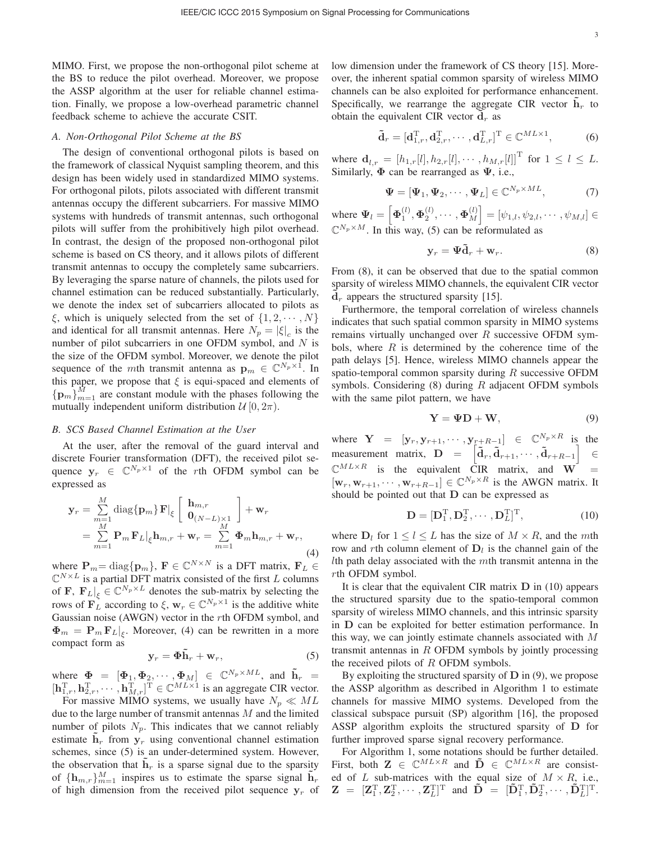MIMO. First, we propose the non-orthogonal pilot scheme at the BS to reduce the pilot overhead. Moreover, we propose the ASSP algorithm at the user for reliable channel estimation. Finally, we propose a low-overhead parametric channel feedback scheme to achieve the accurate CSIT.

#### *A. Non-Orthogonal Pilot Scheme at the BS*

The design of conventional orthogonal pilots is based on the framework of classical Nyquist sampling theorem, and this design has been widely used in standardized MIMO systems. For orthogonal pilots, pilots associated with different transmit antennas occupy the different subcarriers. For massive MIMO systems with hundreds of transmit antennas, such orthogonal pilots will suffer from the prohibitively high pilot overhead. In contrast, the design of the proposed non-orthogonal pilot scheme is based on CS theory, and it allows pilots of different transmit antennas to occupy the completely same subcarriers. By leveraging the sparse nature of channels, the pilots used for channel estimation can be reduced substantially. Particularly, we denote the index set of subcarriers allocated to pilots as *ξ*, which is uniquely selected from the set of {1*,* 2*,* ··· *, N*} and identical for all transmit antennas. Here  $N_p = |\xi|_c$  is the number of pilot subcarriers in one OEDM symbol, and N is number of pilot subcarriers in one OFDM symbol, and *N* is the size of the OFDM symbol. Moreover, we denote the pilot sequence of the *m*th transmit antenna as  $\mathbf{p}_m \in \mathbb{C}^{N_p \times 1}$ . In this paper, we propose that  $\xi$  is equi-spaced and elements of  ${\{\mathbf p_m\}}_{m=1}^M$  are constant module with the phases following the mutually independent uniform distribution  $\mathcal{U}[0, 2\pi)$ mutually independent uniform distribution  $\mathcal{U}[0, 2\pi)$ .

#### *B. SCS Based Channel Estimation at the User*

At the user, after the removal of the guard interval and discrete Fourier transformation (DFT), the received pilot sequence  $y_r \in \mathbb{C}^{N_p \times 1}$  of the *r*th OFDM symbol can be expressed as

$$
\mathbf{y}_r = \sum_{m=1}^M \text{diag}\{\mathbf{p}_m\} \mathbf{F}|_{\xi} \begin{bmatrix} \mathbf{h}_{m,r} \\ \mathbf{0}_{(N-L)\times 1} \\ \end{bmatrix} + \mathbf{w}_r
$$
  
= 
$$
\sum_{m=1}^M \mathbf{P}_m \mathbf{F}_L|_{\xi} \mathbf{h}_{m,r} + \mathbf{w}_r = \sum_{m=1}^M \boldsymbol{\Phi}_m \mathbf{h}_{m,r} + \mathbf{w}_r,
$$
 (4)

where  $\mathbf{P}_m = \text{diag}\{\mathbf{p}_m\}$ ,  $\mathbf{F} \in \mathbb{C}^{N \times N}$  is a DFT matrix,  $\mathbf{F}_L \in \mathbb{C}^{N \times L}$  is a partial DET matrix consisted of the first L columnary  $\mathbb{C}^{N \times L}$  is a partial DFT matrix consisted of the first *L* columns of **F**,  $\mathbf{F}_L|_{\xi} \in \mathbb{C}^{N_p \times L}$  denotes the sub-matrix by selecting the rows of **F**<sub>-</sub> according to  $\xi$ ,  $\mathbf{w}_L \in \mathbb{C}^{N_p \times 1}$  is the additive white rows of  $\mathbf{F}_L^{\gamma}$  according to  $\xi, \mathbf{w}_r \in \mathbb{C}^{N_p \times 1}$  is the additive white Gaussian noise (AWGN) vector in the *r*th OFDM symbol, and  $\Phi_m = \mathbf{P}_m \mathbf{F}_L|_{\xi}$ . Moreover, (4) can be rewritten in a more compact form as compact form as

$$
\mathbf{y}_r = \mathbf{\Phi} \tilde{\mathbf{h}}_r + \mathbf{w}_r, \tag{5}
$$

where  $\mathbf{\Phi} = [\mathbf{\Phi}_1, \mathbf{\Phi}_2, \cdots, \mathbf{\Phi}_M] \in \mathbb{C}^{N_p \times ML}$ , and  $\mathbf{\tilde{h}}_r = [\mathbf{h}_{1,r}^{\mathrm{T}}, \mathbf{h}_{2,r}^{\mathrm{T}}, \cdots, \mathbf{h}_{M,r}^{\mathrm{T}}]^{\mathrm{T}} \in \mathbb{C}^{ML \times 1}$  is an aggregate CIR vector.<br>For massive MIMO systems, we usually have  $N \ll ML$ 

For massive MIMO systems, we usually have  $N_p \ll ML$ due to the large number of transmit antennas *M* and the limited number of pilots  $N_p$ . This indicates that we cannot reliably estimate  $h_r$  from  $y_r$  using conventional channel estimation schemes, since (5) is an under-determined system. However, the observation that  $\mathbf{h}_r$  is a sparse signal due to the sparsity of  $\{h_{m,r}\}_{m=1}^M$  inspires us to estimate the sparse signal  $\tilde{h}_r$ <br>of high dimension from the received pilot sequence x, of of high dimension from the received pilot sequence  $y_r$  of low dimension under the framework of CS theory [15]. Moreover, the inherent spatial common sparsity of wireless MIMO channels can be also exploited for performance enhancement. Specifically, we rearrange the aggregate CIR vector  $\mathbf{h}_r$  to obtain the equivalent CIR vector  $\mathbf{d}_r$  as

$$
\tilde{\mathbf{d}}_r = [\mathbf{d}_{1,r}^{\mathrm{T}}, \mathbf{d}_{2,r}^{\mathrm{T}}, \cdots, \mathbf{d}_{L,r}^{\mathrm{T}}]^{\mathrm{T}} \in \mathbb{C}^{ML \times 1},\tag{6}
$$

where  $\mathbf{d}_{l,r} = [h_{1,r}[l], h_{2,r}[l], \cdots, h_{M,r}[l]]$  for  $1 \leq l \leq L$ .<br>Similarly  $\mathbf{\Phi}$  can be rearranged as  $\mathbf{\Psi}$  i.e. Similarly, **Φ** can be rearranged as **Ψ**, i.e.,

$$
\mathbf{\Psi} = [\mathbf{\Psi}_1, \mathbf{\Psi}_2, \cdots, \mathbf{\Psi}_L] \in \mathbb{C}^{N_p \times ML},\tag{7}
$$

where  $\Psi_l = \left[\Phi_1^{(l)}, \Phi_2^{(l)}, \cdots, \Phi_M^{(l)}\right] = [\psi_{1,l}, \psi_{2,l}, \cdots, \psi_{M,l}] \in$  $\mathbb{C}^{N_p \times M}$ . In this way, (5) can be reformulated as

$$
\mathbf{y}_r = \mathbf{\Psi} \tilde{\mathbf{d}}_r + \mathbf{w}_r. \tag{8}
$$

From (8), it can be observed that due to the spatial common sparsity of wireless MIMO channels, the equivalent CIR vector  $\tilde{d}_r$  appears the structured sparsity [15].

Furthermore, the temporal correlation of wireless channels indicates that such spatial common sparsity in MIMO systems remains virtually unchanged over *R* successive OFDM symbols, where *R* is determined by the coherence time of the path delays [5]. Hence, wireless MIMO channels appear the spatio-temporal common sparsity during *R* successive OFDM symbols. Considering (8) during *R* adjacent OFDM symbols with the same pilot pattern, we have

$$
Y = \Psi D + W, \tag{9}
$$

where  $\mathbf{Y} = [\mathbf{y}_r, \mathbf{y}_{r+1}, \cdots, \mathbf{y}_{r+R-1}] \in \mathbb{C}^{N_p \times R}$  is the measurement matrix,  $\mathbf{D} = \begin{bmatrix} \mathbf{\tilde{d}}_r, \mathbf{\tilde{d}}_{r+1}, \cdots, \mathbf{\tilde{d}}_{r+R-1} \end{bmatrix}$ ∈  $\mathbb{C}^{ML\times R}$  is the equivalent CIR matrix, and **W**  $[\mathbf{w}_r, \mathbf{w}_{r+1}, \cdots, \mathbf{w}_{r+R-1}] \in \mathbb{C}^{N_p \times R}$  is the AWGN matrix. It should be pointed out that **D** can be expressed as

$$
\mathbf{D} = [\mathbf{D}_1^{\mathrm{T}}, \mathbf{D}_2^{\mathrm{T}}, \cdots, \mathbf{D}_L^{\mathrm{T}}]^{\mathrm{T}}, \tag{10}
$$

where  $D_l$  for  $1 \leq l \leq L$  has the size of  $M \times R$ , and the *mth* row and *r*th column element of  $D_l$  is the channel gain of the *l*th path delay associated with the *m*th transmit antenna in the *r*th OFDM symbol.

It is clear that the equivalent CIR matrix **D** in (10) appears the structured sparsity due to the spatio-temporal common sparsity of wireless MIMO channels, and this intrinsic sparsity in **D** can be exploited for better estimation performance. In this way, we can jointly estimate channels associated with *M* transmit antennas in *R* OFDM symbols by jointly processing the received pilots of *R* OFDM symbols.

By exploiting the structured sparsity of **D** in (9), we propose the ASSP algorithm as described in Algorithm 1 to estimate channels for massive MIMO systems. Developed from the classical subspace pursuit (SP) algorithm [16], the proposed ASSP algorithm exploits the structured sparsity of **D** for further improved sparse signal recovery performance.

For Algorithm 1, some notations should be further detailed. First, both  $\mathbf{Z} \in \mathbb{C}^{ML \times R}$  and  $\tilde{\mathbf{D}} \in \mathbb{C}^{ML \times R}$  are consisted of *L* sub-matrices with the equal size of  $M \times R$ , i.e.,  $\mathbf{Z} = [\mathbf{Z}_1^{\mathrm{T}}, \mathbf{Z}_2^{\mathrm{T}}, \cdots, \mathbf{Z}_L^{\mathrm{T}}]^{\mathrm{T}}$  and  $\mathbf{\tilde{D}} = [\mathbf{\tilde{D}}_1^{\mathrm{T}}, \mathbf{\tilde{D}}_2^{\mathrm{T}}, \cdots, \mathbf{\tilde{D}}_L^{\mathrm{T}}]^{\mathrm{T}}$ .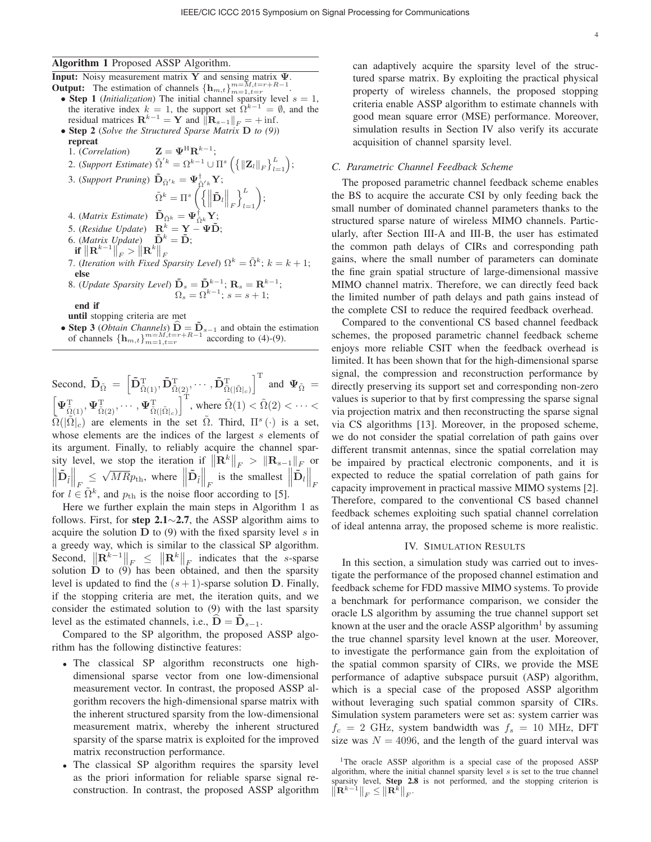## Algorithm 1 Proposed ASSP Algorithm.

Input: Noisy measurement matrix **Y** and sensing matrix **Ψ**. Output: The estimation of channels  ${\{\mathbf{h}_{m,t}\}}_{m=1,t=r}^{m=M,t=r+R-1}$ .

- Step 1 (*Initialization*) The initial channel sparsity level  $s = 1$ , the iterative index  $k = 1$ , the support set  $\Omega^{k-1} = \emptyset$ , and the residual matrices  $\mathbf{R}^{k-1} = \mathbf{Y}$  and  $\|\mathbf{R}_{s-1}\|_F = + \inf$ .
- Step 2 (*Solve the Structured Sparse Matrix* **D** *to (9)*) **repreat**<br>1. (*Correlation*)
	- 1. (*Correlation*)  $\mathbf{Z} = \mathbf{\Psi}^{\mathrm{H}} \mathbf{R}^{k-1};$
- 2. (*Support Estimate*)  $\tilde{\Omega}'^k = \Omega^{k-1} \cup \Pi^s \left( \left\{ \left\| \mathbf{Z}_l \right\|_F \right\}_{l=1}^L \right);$
- 3. (*Support Pruning*)  $\tilde{\mathbf{D}}_{\tilde{\Omega}^{'k}} = \mathbf{\Psi}^{\dagger}_{\tilde{\Omega}^{'k}} \mathbf{Y};$  $\tilde{\Omega}^k = \Pi^s \left( \left\{ \left\| \tilde{\mathbf{D}}_l \right\|_F \right.$  $\left.\begin{array}{c} L \\ L = 1 \end{array}\right);$ **4.** (*Matrix Estimate*)  $\tilde{\mathbf{D}}_{\tilde{\Omega}^k} = \mathbf{\Psi}_{\tilde{\Omega}^k}^{\dagger} \mathbf{Y}$ ;
- 5. (*Residue Update*)  $\mathbf{R}^k = \mathbf{Y} \mathbf{\Psi}\tilde{\mathbf{D}}$ ;
- 6. (*Matrix Update*)  $\tilde{\mathbf{D}}^k = \tilde{\mathbf{D}}$ ;
- 
- $\left\| \mathbf{R}^{k-1} \right\|_F > \left\| \mathbf{R}^k \right\|_F$
- 7. (*Iteration with Fixed Sparsity Level*)  $\Omega^k = \tilde{\Omega}^k$ ;  $k = k + 1$ ; else 8. (*Update Sparsity Level*) **D˜** *<sup>s</sup>* = **D˜** *<sup>k</sup>*−<sup>1</sup>; **R***<sup>s</sup>* = **R***<sup>k</sup>*−<sup>1</sup>;

8. (Update Sparsity Level) 
$$
\mathbf{D}_s = \mathbf{D}^{k-1}
$$
;  $\mathbf{R}_s = \mathbf{R}^{k-1}$   
 $\Omega_s = \Omega^{k-1}$ ;  $s = s + 1$ ;

end if

until stopping criteria are met

• Step 3 (*Obtain Channels*)  $\widehat{\mathbf{D}} = \widetilde{\mathbf{D}}_{s-1}$  and obtain the estimation of channels  $\{\mathbf{h}_{m,t}\}_{m=1,t=r}^{m=M,t=r+R-1}$  according to (4)-(9).

Second,  $\tilde{\mathbf{D}}_{\tilde{\Omega}} = \left[ \tilde{\mathbf{D}}_{\tilde{\Omega}(1)}^{\mathrm{T}}, \tilde{\mathbf{D}}_{\tilde{\Omega}(2)}^{\mathrm{T}}, \cdots, \tilde{\mathbf{D}}_{\tilde{\Omega}(|\tilde{\Omega}|_c)}^{\mathrm{T}} \right]$ Second,  $\tilde{\mathbf{D}}_{\tilde{\Omega}} = \left[\tilde{\mathbf{D}}_{\tilde{\Omega}(1)}^T, \tilde{\mathbf{D}}_{\tilde{\Omega}(2)}^T, \cdots, \tilde{\mathbf{D}}_{\tilde{\Omega}(|\tilde{\Omega}|_c)}^T\right]^T$  and  $\Psi_{\tilde{\Omega}} = \begin{bmatrix} \mathbf{x}^T & \mathbf{x}^T & \mathbf{x}^T & \mathbf{z}^T & \mathbf{z}^T & \mathbf{z}^T & \mathbf{z}^T & \mathbf{z}^T & \mathbf{z}^T & \mathbf{z}^T & \mathbf{z$  $\Psi^{\rm T}_{\tilde{\Omega}(1)}, \Psi^{\rm T}_{\tilde{\Omega}(2)}, \cdots, \Psi^{\rm T}_{\tilde{\Omega}(|\tilde{\Omega}|_c)},$  $\int_0^T$ , where  $\tilde{\Omega}(1) < \tilde{\Omega}(2) < \cdots <$  $\tilde{\Omega}(|\tilde{\Omega}|_c)$  are elements in the set  $\tilde{\Omega}$ . Third,  $\Pi^s(\cdot)$  is a set, whose elements are the indices of the largest *s* elements of its argument. Finally, to reliably acquire the channel sparsity level, we stop the iteration if  $\|\mathbf{R}^k\|_F > \|\mathbf{R}_{s-1}\|_F$  or<br>  $\|\tilde{\mathbf{D}}_l\|_F \leq \sqrt{MR}p_{\text{th}}$ , where  $\|\tilde{\mathbf{D}}_l\|_F$  is the smallest  $\|\tilde{\mathbf{D}}_l\|_F$ ˜*l*  $\left\| \begin{matrix} E & \sqrt{MR}p_{\text{th}} \\ F & \end{matrix} \right\|_F \leq \sqrt{MR}p_{\text{th}}$ , where  $\overline{f}$  *for*  $l \in \tilde{\Omega}^k$ *, and*  $p_{\text{th}}$  *is the noise floor according to* [5].  $\|\tilde{\mathbf{D}}$ ˜*l*  $\left\| \begin{matrix} 1 & -1 \\ F \end{matrix} \right\|_F$  is the smallest **D˜**  $\Big\|_F$ 

Here we further explain the main steps in Algorithm 1 as follows. First, for step 2.1∼2.7, the ASSP algorithm aims to acquire the solution **D** to (9) with the fixed sparsity level *s* in a greedy way, which is similar to the classical SP algorithm. Second,  $\|\mathbf{R}^{k-1}\|_F \leq \|\mathbf{R}^k\|_F$  indicates that the *s*-sparse<br>solution **D** to (9) has been obtained and then the sparsity solution  $\overline{D}$  to  $\overline{(9)}$  has been obtained, and then the sparsity level is updated to find the  $(s + 1)$ -sparse solution **D**. Finally, if the stopping criteria are met, the iteration quits, and we consider the estimated solution to (9) with the last sparsity level as the estimated channels, i.e.,  $D = D_{s-1}$ .

Compared to the SP algorithm, the proposed ASSP algorithm has the following distinctive features:

- The classical SP algorithm reconstructs one highdimensional sparse vector from one low-dimensional measurement vector. In contrast, the proposed ASSP algorithm recovers the high-dimensional sparse matrix with the inherent structured sparsity from the low-dimensional measurement matrix, whereby the inherent structured sparsity of the sparse matrix is exploited for the improved matrix reconstruction performance.
- The classical SP algorithm requires the sparsity level as the priori information for reliable sparse signal reconstruction. In contrast, the proposed ASSP algorithm

can adaptively acquire the sparsity level of the structured sparse matrix. By exploiting the practical physical property of wireless channels, the proposed stopping criteria enable ASSP algorithm to estimate channels with good mean square error (MSE) performance. Moreover, simulation results in Section IV also verify its accurate acquisition of channel sparsity level.

#### *C. Parametric Channel Feedback Scheme*

The proposed parametric channel feedback scheme enables the BS to acquire the accurate CSI by only feeding back the small number of dominated channel parameters thanks to the structured sparse nature of wireless MIMO channels. Particularly, after Section III-A and III-B, the user has estimated the common path delays of CIRs and corresponding path gains, where the small number of parameters can dominate the fine grain spatial structure of large-dimensional massive MIMO channel matrix. Therefore, we can directly feed back the limited number of path delays and path gains instead of the complete CSI to reduce the required feedback overhead.

Compared to the conventional CS based channel feedback schemes, the proposed parametric channel feedback scheme enjoys more reliable CSIT when the feedback overhead is limited. It has been shown that for the high-dimensional sparse signal, the compression and reconstruction performance by directly preserving its support set and corresponding non-zero values is superior to that by first compressing the sparse signal via projection matrix and then reconstructing the sparse signal via CS algorithms [13]. Moreover, in the proposed scheme, we do not consider the spatial correlation of path gains over different transmit antennas, since the spatial correlation may be impaired by practical electronic components, and it is expected to reduce the spatial correlation of path gains for capacity improvement in practical massive MIMO systems [2]. Therefore, compared to the conventional CS based channel feedback schemes exploiting such spatial channel correlation of ideal antenna array, the proposed scheme is more realistic.

#### IV. SIMULATION RESULTS

In this section, a simulation study was carried out to investigate the performance of the proposed channel estimation and feedback scheme for FDD massive MIMO systems. To provide a benchmark for performance comparison, we consider the oracle LS algorithm by assuming the true channel support set known at the user and the oracle ASSP algorithm<sup>1</sup> by assuming the true channel sparsity level known at the user. Moreover, to investigate the performance gain from the exploitation of the spatial common sparsity of CIRs, we provide the MSE performance of adaptive subspace pursuit (ASP) algorithm, which is a special case of the proposed ASSP algorithm without leveraging such spatial common sparsity of CIRs. Simulation system parameters were set as: system carrier was  $f_c = 2$  GHz, system bandwidth was  $f_s = 10$  MHz, DFT size was  $N = 4096$ , and the length of the guard interval was

<sup>&</sup>lt;sup>1</sup>The oracle ASSP algorithm is a special case of the proposed ASSP algorithm, where the initial channel sparsity level  $s$  is set to the true channel sparsity level, **Step 2.8** is not performed, and the stopping criterion is  $\|\mathbf{R}^{k-1}\|_{\mathbb{R}} < \|\mathbf{R}^k\|_{\mathbb{R}}$ .  $\left\Vert \mathbf{R}^{k-1}\right\Vert _{F}\leq\left\Vert \mathbf{R}^{k}\right\Vert _{F}.$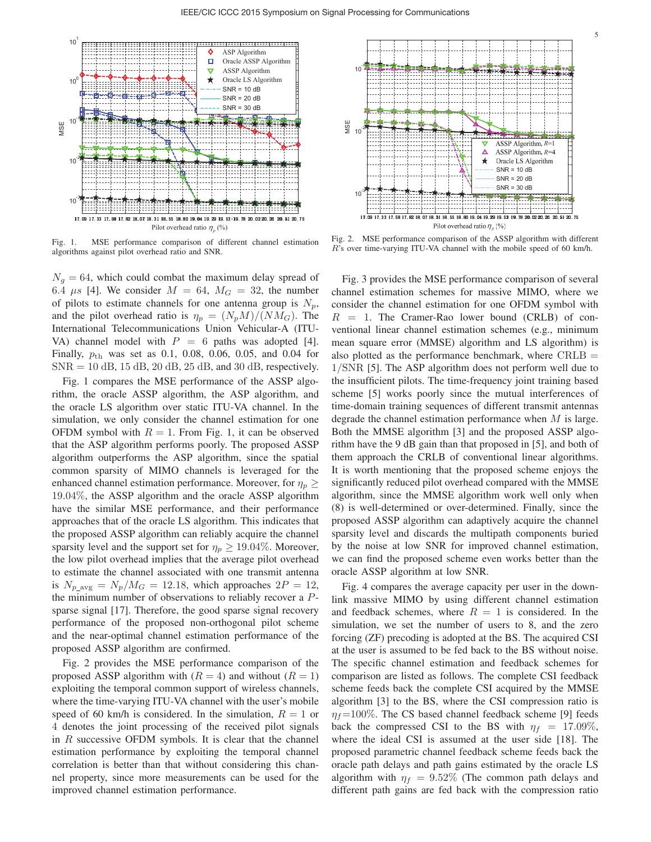

Fig. 1. MSE performance comparison of different channel estimation algorithms against pilot overhead ratio and SNR.

 $N_g = 64$ , which could combat the maximum delay spread of 6.4  $\mu$ *s* [4]. We consider  $M = 64$ ,  $M_G = 32$ , the number of pilots to estimate channels for one antenna group is  $N_p$ , and the pilot overhead ratio is  $\eta_p = (N_p M)/(N M_G)$ . The International Telecommunications Union Vehicular-A (ITU-VA) channel model with  $P = 6$  paths was adopted [4]. Finally,  $p_{\text{th}}$  was set as 0.1, 0.08, 0.06, 0.05, and 0.04 for  $SNR = 10$  dB, 15 dB, 20 dB, 25 dB, and 30 dB, respectively.

Fig. 1 compares the MSE performance of the ASSP algorithm, the oracle ASSP algorithm, the ASP algorithm, and the oracle LS algorithm over static ITU-VA channel. In the simulation, we only consider the channel estimation for one OFDM symbol with  $R = 1$ . From Fig. 1, it can be observed that the ASP algorithm performs poorly. The proposed ASSP algorithm outperforms the ASP algorithm, since the spatial common sparsity of MIMO channels is leveraged for the enhanced channel estimation performance. Moreover, for  $\eta_p \geq$ 19*.*04%, the ASSP algorithm and the oracle ASSP algorithm have the similar MSE performance, and their performance approaches that of the oracle LS algorithm. This indicates that the proposed ASSP algorithm can reliably acquire the channel sparsity level and the support set for  $\eta_p \geq 19.04\%$ . Moreover, the low pilot overhead implies that the average pilot overhead to estimate the channel associated with one transmit antenna is  $N_p$  avg =  $N_p/M_G$  = 12.18, which approaches  $2P = 12$ , the minimum number of observations to reliably recover a *P*sparse signal [17]. Therefore, the good sparse signal recovery performance of the proposed non-orthogonal pilot scheme and the near-optimal channel estimation performance of the proposed ASSP algorithm are confirmed.

Fig. 2 provides the MSE performance comparison of the proposed ASSP algorithm with  $(R = 4)$  and without  $(R = 1)$ exploiting the temporal common support of wireless channels, where the time-varying ITU-VA channel with the user's mobile speed of 60 km/h is considered. In the simulation,  $R = 1$  or 4 denotes the joint processing of the received pilot signals in *R* successive OFDM symbols. It is clear that the channel estimation performance by exploiting the temporal channel correlation is better than that without considering this channel property, since more measurements can be used for the improved channel estimation performance.



Fig. 2. MSE performance comparison of the ASSP algorithm with different R's over time-varying ITU-VA channel with the mobile speed of 60 km/h.

Fig. 3 provides the MSE performance comparison of several channel estimation schemes for massive MIMO, where we consider the channel estimation for one OFDM symbol with  $R = 1$ . The Cramer-Rao lower bound (CRLB) of conventional linear channel estimation schemes (e.g., minimum mean square error (MMSE) algorithm and LS algorithm) is also plotted as the performance benchmark, where  $CRLB =$ 1*/*SNR [5]. The ASP algorithm does not perform well due to the insufficient pilots. The time-frequency joint training based scheme [5] works poorly since the mutual interferences of time-domain training sequences of different transmit antennas degrade the channel estimation performance when *M* is large. Both the MMSE algorithm [3] and the proposed ASSP algorithm have the 9 dB gain than that proposed in [5], and both of them approach the CRLB of conventional linear algorithms. It is worth mentioning that the proposed scheme enjoys the significantly reduced pilot overhead compared with the MMSE algorithm, since the MMSE algorithm work well only when (8) is well-determined or over-determined. Finally, since the proposed ASSP algorithm can adaptively acquire the channel sparsity level and discards the multipath components buried by the noise at low SNR for improved channel estimation, we can find the proposed scheme even works better than the oracle ASSP algorithm at low SNR.

Fig. 4 compares the average capacity per user in the downlink massive MIMO by using different channel estimation and feedback schemes, where  $R = 1$  is considered. In the simulation, we set the number of users to 8, and the zero forcing (ZF) precoding is adopted at the BS. The acquired CSI at the user is assumed to be fed back to the BS without noise. The specific channel estimation and feedback schemes for comparison are listed as follows. The complete CSI feedback scheme feeds back the complete CSI acquired by the MMSE algorithm [3] to the BS, where the CSI compression ratio is *<sup>η</sup>f*=100%. The CS based channel feedback scheme [9] feeds back the compressed CSI to the BS with  $\eta_f = 17.09\%$ , where the ideal CSI is assumed at the user side [18]. The proposed parametric channel feedback scheme feeds back the oracle path delays and path gains estimated by the oracle LS algorithm with  $\eta_f = 9.52\%$  (The common path delays and different path gains are fed back with the compression ratio